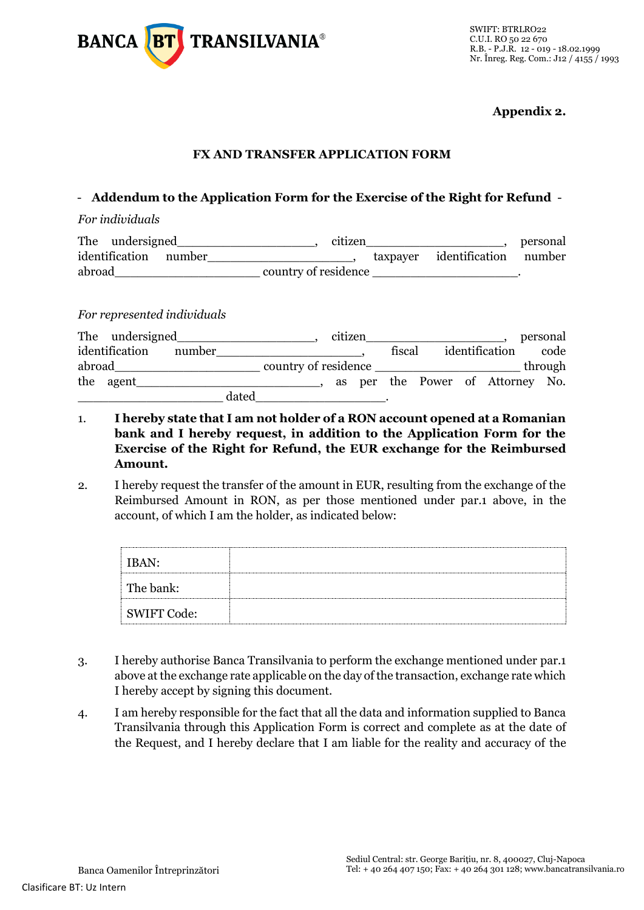

**Appendix 2.**

## **FX AND TRANSFER APPLICATION FORM**

## - **Addendum to the Application Form for the Exercise of the Right for Refund** -

*For individuals*

|        | The undersigned       |  | citizen              |  |          | personal              |  |  |
|--------|-----------------------|--|----------------------|--|----------|-----------------------|--|--|
|        | identification number |  |                      |  | taxpayer | identification number |  |  |
| abroad |                       |  | country of residence |  |          |                       |  |  |

## *For represented individuals*

|        | The undersigned |        |       |                      | citizen |        |                                  |                | personal |
|--------|-----------------|--------|-------|----------------------|---------|--------|----------------------------------|----------------|----------|
|        | identification  | number |       |                      |         | fiscal |                                  | identification | code     |
| abroad |                 |        |       | country of residence |         |        |                                  |                | through  |
|        | the agent       |        |       |                      |         |        | as per the Power of Attorney No. |                |          |
|        |                 |        | dated |                      |         |        |                                  |                |          |

- 1. **I hereby state that I am not holder of a RON account opened at a Romanian bank and I hereby request, in addition to the Application Form for the Exercise of the Right for Refund, the EUR exchange for the Reimbursed Amount.**
- 2. I hereby request the transfer of the amount in EUR, resulting from the exchange of the Reimbursed Amount in RON, as per those mentioned under par.1 above, in the account, of which I am the holder, as indicated below:

| IBAN:              |  |
|--------------------|--|
| The bank:          |  |
| <b>SWIFT Code:</b> |  |
|                    |  |

- 3. I hereby authorise Banca Transilvania to perform the exchange mentioned under par.1 above at the exchange rate applicable on the day of the transaction, exchange rate which I hereby accept by signing this document.
- 4. I am hereby responsible for the fact that all the data and information supplied to Banca Transilvania through this Application Form is correct and complete as at the date of the Request, and I hereby declare that I am liable for the reality and accuracy of the